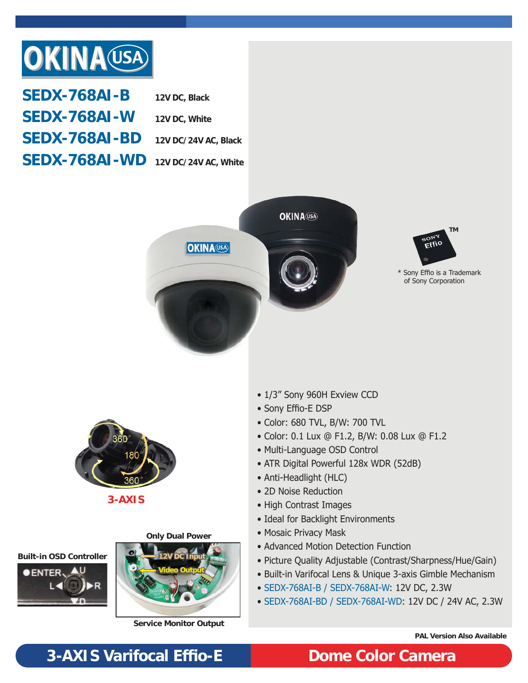

| <b>SEDX-768AI-B</b>                  | 12V DC, Black |
|--------------------------------------|---------------|
| <b>SEDX-768AI-W</b>                  | 12V DC, White |
| $SEDX-768AI-BD$ 12V DC/24V AC, Black |               |
| SEDX-768AI-WD 12V DC/24V AC, White   |               |





\* Sony Effio is a Trademark of Sony Corporation



**3-AXIS**

**Only Dual Power**





**Service Monitor Output**

- 1/3" Sony 960H Exview CCD
- Sony Effio-E DSP
- Color: 680 TVL, B/W: 700 TVL
- Color: 0.1 Lux @ F1.2, B/W: 0.08 Lux @ F1.2
- Multi-Language OSD Control
- ATR Digital Powerful 128x WDR (52dB)
- Anti-Headlight (HLC)
- 2D Noise Reduction
- High Contrast Images
- Ideal for Backlight Environments
- Mosaic Privacy Mask
- Advanced Motion Detection Function
- Picture Quality Adjustable (Contrast/Sharpness/Hue/Gain)
- Built-in Varifocal Lens & Unique 3-axis Gimble Mechanism
- SEDX-768AI-B / SEDX-768AI-W: 12V DC, 2.3W
- SEDX-768AI-BD / SEDX-768AI-WD: 12V DC / 24V AC, 2.3W

**PAL Version Also Available**

## **3-AXIS Varifocal Effi o-E Dome Color Camera**